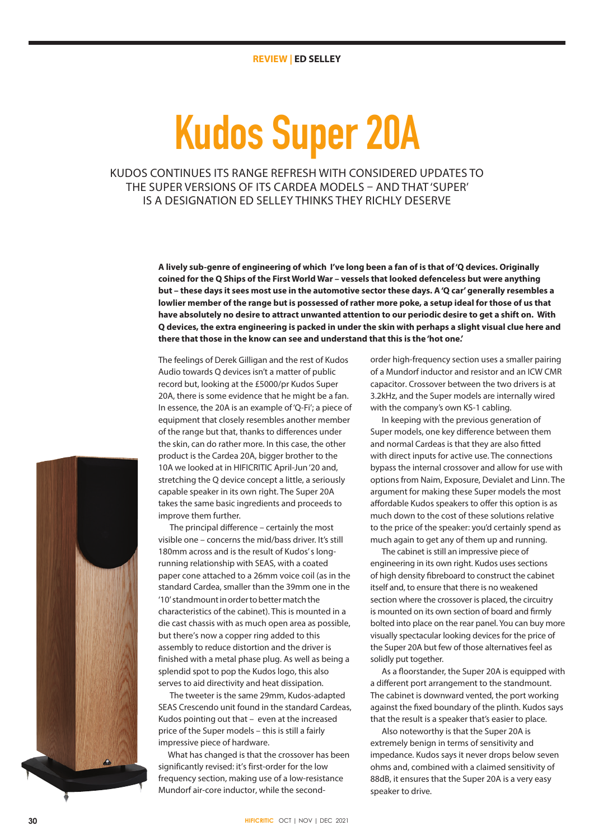# **Kudos Super 20A**

# KUDOS CONTINUES ITS RANGE REFRESH WITH CONSIDERED UPDATES TO THE SUPER VERSIONS OF ITS CARDEA MODELS – AND THAT 'SUPER' IS A DESIGNATION ED SELLEY THINKS THEY RICHLY DESERVE

**A lively sub-genre of engineering of which I've long been a fan of is that of 'Q devices. Originally coined for the Q Ships of the First World War – vessels that looked defenceless but were anything but – these days it sees most use in the automotive sector these days. A 'Q car' generally resembles a lowlier member of the range but is possessed of rather more poke, a setup ideal for those of us that have absolutely no desire to attract unwanted attention to our periodic desire to get a shift on. With Q devices, the extra engineering is packed in under the skin with perhaps a slight visual clue here and there that those in the know can see and understand that this is the 'hot one.'** 

The feelings of Derek Gilligan and the rest of Kudos Audio towards Q devices isn't a matter of public record but, looking at the £5000/pr Kudos Super 20A, there is some evidence that he might be a fan. In essence, the 20A is an example of 'Q-Fi'; a piece of equipment that closely resembles another member of the range but that, thanks to differences under the skin, can do rather more. In this case, the other product is the Cardea 20A, bigger brother to the 10A we looked at in HIFICRITIC April-Jun '20 and, stretching the Q device concept a little, a seriously capable speaker in its own right. The Super 20A takes the same basic ingredients and proceeds to improve them further.

The principal difference – certainly the most visible one – concerns the mid/bass driver. It's still 180mm across and is the result of Kudos' s longrunning relationship with SEAS, with a coated paper cone attached to a 26mm voice coil (as in the standard Cardea, smaller than the 39mm one in the '10' standmount in order to better match the characteristics of the cabinet). This is mounted in a die cast chassis with as much open area as possible, but there's now a copper ring added to this assembly to reduce distortion and the driver is finished with a metal phase plug. As well as being a splendid spot to pop the Kudos logo, this also serves to aid directivity and heat dissipation.

The tweeter is the same 29mm, Kudos-adapted SEAS Crescendo unit found in the standard Cardeas, Kudos pointing out that – even at the increased price of the Super models – this is still a fairly impressive piece of hardware.

 What has changed is that the crossover has been significantly revised: it's first-order for the low frequency section, making use of a low-resistance Mundorf air-core inductor, while the secondorder high-frequency section uses a smaller pairing of a Mundorf inductor and resistor and an ICW CMR capacitor. Crossover between the two drivers is at 3.2kHz, and the Super models are internally wired with the company's own KS-1 cabling.

In keeping with the previous generation of Super models, one key difference between them and normal Cardeas is that they are also fitted with direct inputs for active use. The connections bypass the internal crossover and allow for use with options from Naim, Exposure, Devialet and Linn. The argument for making these Super models the most affordable Kudos speakers to offer this option is as much down to the cost of these solutions relative to the price of the speaker: you'd certainly spend as much again to get any of them up and running.

The cabinet is still an impressive piece of engineering in its own right. Kudos uses sections of high density fibreboard to construct the cabinet itself and, to ensure that there is no weakened section where the crossover is placed, the circuitry is mounted on its own section of board and firmly bolted into place on the rear panel. You can buy more visually spectacular looking devices for the price of the Super 20A but few of those alternatives feel as solidly put together.

As a floorstander, the Super 20A is equipped with a different port arrangement to the standmount. The cabinet is downward vented, the port working against the fixed boundary of the plinth. Kudos says that the result is a speaker that's easier to place.

Also noteworthy is that the Super 20A is extremely benign in terms of sensitivity and impedance. Kudos says it never drops below seven ohms and, combined with a claimed sensitivity of 88dB, it ensures that the Super 20A is a very easy speaker to drive.